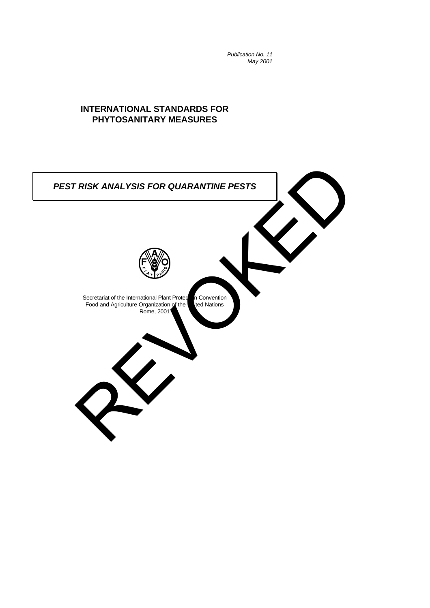*Publication No. 11 May 2001*

# **INTERNATIONAL STANDARDS FOR PHYTOSANITARY MEASURES**

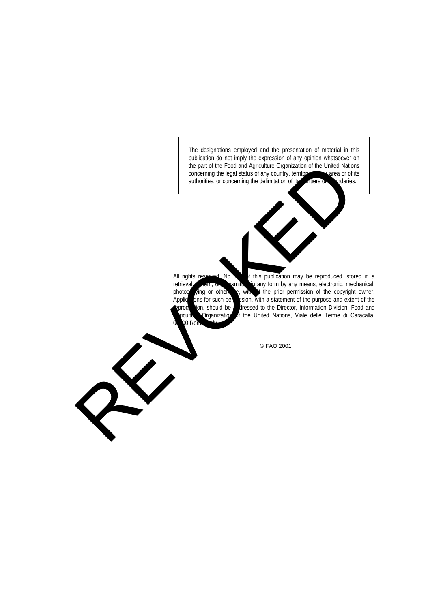The designations employed and the presentation of material in this publication do not imply the expression of any opinion whatsoever on the part of the Food and Agriculture Organization of the United Nations concerning the legal status of any country, territory, carea or of its authorities, or concerning the delimitation of its authorities. authorities, or concerning the delimitation of its initiars or

0 Ro

All rights reserved. No  $\triangleright$  of this publication may be reproduced, stored in a retrieval system, or any form by any means, electronic, mechanical, photocopying or otherwise, with it the prior permission of the copyright owner. Applic**hons for such permission, with a statement of the purpose and extent of the** production, should be a dressed to the Director, Information Division, Food and ticultu Organization of the United Nations, Viale delle Terme di Caracalla, the part of the Food and Application of the United National Concerning the legislation of the United Nation of the United Nation of the United National Concerning the definition of the prior permission of the copyright and

© FAO 2001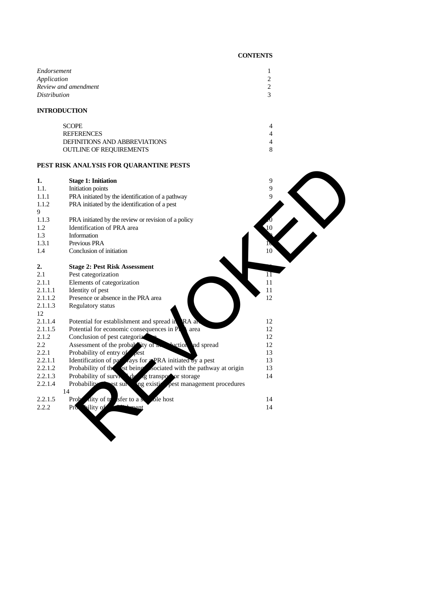# **CONTENTS**

| Endorsement<br>Application<br>Review and amendment<br>Distribution |  |  |
|--------------------------------------------------------------------|--|--|
| <b>INTRODUCTION</b>                                                |  |  |
| <b>SCOPE</b>                                                       |  |  |
| <b>REFERENCES</b>                                                  |  |  |
| DEFINITIONS AND ABBREVIATIONS                                      |  |  |
| <b>OUTLINE OF REQUIREMENTS</b>                                     |  |  |

# **PEST RISK ANALYSIS FOR QUARANTINE PESTS**

|               | PEST RISK ANALYSIS FOR QUARANTINE PESTS                                                                                                                     |                 |
|---------------|-------------------------------------------------------------------------------------------------------------------------------------------------------------|-----------------|
| 1.            | <b>Stage 1: Initiation</b>                                                                                                                                  | 9               |
| 1.1.          | Initiation points                                                                                                                                           | 9               |
| 1.1.1         | PRA initiated by the identification of a pathway                                                                                                            | 9               |
| 1.1.2<br>9    | PRA initiated by the identification of a pest                                                                                                               |                 |
| 1.1.3         | PRA initiated by the review or revision of a policy                                                                                                         |                 |
| 1.2           | Identification of PRA area                                                                                                                                  | $\overline{10}$ |
| 1.3           | Information                                                                                                                                                 |                 |
| 1.3.1         | Previous PRA                                                                                                                                                |                 |
| 1.4           | Conclusion of initiation                                                                                                                                    | $10\,$          |
| 2.            | <b>Stage 2: Pest Risk Assessment</b>                                                                                                                        |                 |
| 2.1           | Pest categorization                                                                                                                                         | 11              |
| 2.1.1         | Elements of categorization                                                                                                                                  | 11              |
| 2.1.1.1       | Identity of pest                                                                                                                                            | 11              |
| 2.1.1.2       | Presence or absence in the PRA area                                                                                                                         | 12              |
| 2.1.1.3<br>12 | Regulatory status                                                                                                                                           |                 |
| 2.1.1.4       | Potential for establishment and spread in RA and                                                                                                            | 12              |
| 2.1.1.5       | Potential for economic consequences in Pl<br>area                                                                                                           | 12              |
| 2.1.2         | Conclusion of pest categoriz                                                                                                                                | 12              |
| 2.2           | Assessment of the probability of <b>Replacement</b> and spread                                                                                              | 12              |
| 2.2.1         | Probability of entry of lest<br>Identification of part ays for expRA initiated by a pest<br>Probability of the st being sociated with the pathway at origin | 13              |
| 2.2.1.1       |                                                                                                                                                             | 13              |
| 2.2.1.2       |                                                                                                                                                             | 13              |
| 2.2.1.3       | Probability of survively due to the probability of survively of the state of storage                                                                        | 14              |
| 2.2.1.4       | Probability<br>ng existive pest management procedures<br>est sur<br>14                                                                                      |                 |
| 2.2.1.5       | lity of tr<br>sfer to a s<br>ole host<br>Prob                                                                                                               | 14              |
| 2.2.2         | bility of<br><b>Lement</b><br>Pro                                                                                                                           | 14              |
|               |                                                                                                                                                             |                 |
|               |                                                                                                                                                             |                 |
|               |                                                                                                                                                             |                 |
|               |                                                                                                                                                             |                 |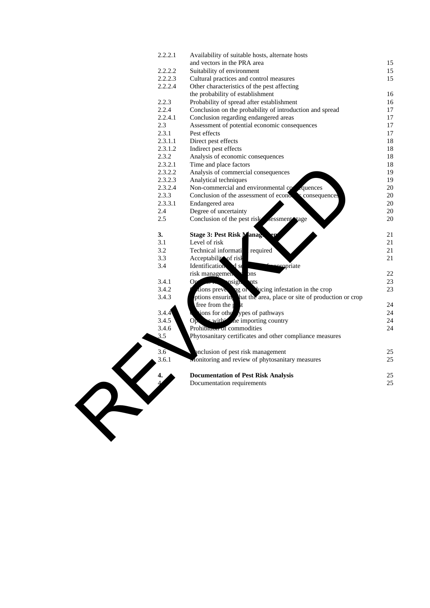|    | 2.2.2.1                | Availability of suitable hosts, alternate hosts                   |    |
|----|------------------------|-------------------------------------------------------------------|----|
|    |                        | and vectors in the PRA area                                       | 15 |
|    | 2.2.2.2                | Suitability of environment                                        | 15 |
|    | 2.2.2.3                | Cultural practices and control measures                           | 15 |
|    | 2.2.2.4                | Other characteristics of the pest affecting                       |    |
|    |                        | the probability of establishment                                  | 16 |
|    | 2.2.3                  | Probability of spread after establishment                         | 16 |
|    | 2.2.4                  | Conclusion on the probability of introduction and spread          | 17 |
|    | 2.2.4.1                | Conclusion regarding endangered areas                             | 17 |
|    | 2.3                    | Assessment of potential economic consequences                     | 17 |
|    | 2.3.1                  | Pest effects                                                      | 17 |
|    | 2.3.1.1                | Direct pest effects                                               | 18 |
|    | 2.3.1.2                | Indirect pest effects                                             | 18 |
|    | 2.3.2                  | Analysis of economic consequences                                 | 18 |
|    | 2.3.2.1                | Time and place factors                                            | 18 |
|    | 2.3.2.2                | Analysis of commercial consequences                               | 19 |
|    | 2.3.2.3                | Analytical techniques                                             | 19 |
|    | 2.3.2.4                | Non-commercial and environmental co<br>quences                    | 20 |
|    | 2.3.3                  | Conclusion of the assessment of econo-<br>consequences            | 20 |
|    | 2.3.3.1                | Endangered area                                                   | 20 |
|    | 2.4                    | Degree of uncertainty                                             | 20 |
|    | 2.5                    | Conclusion of the pest risk<br>sessment tage                      | 20 |
|    | 3.                     | <b>Stage 3: Pest Risk Manager</b><br>en                           | 21 |
|    | 3.1                    | Level of risk                                                     | 21 |
|    | 3.2                    | Technical informati<br>required                                   | 21 |
|    | 3.3                    | Acceptability of risk                                             | 21 |
|    | 3.4                    | Identification<br>$\mathbf d$ se<br>eropriate                     |    |
|    |                        | risk managemen<br>$_{\rm ins}$                                    | 22 |
|    | 3.4.1                  | Opi<br>nsigh<br>nts                                               | 23 |
|    | 3.4.2                  | ng or vucing infestation in the crop<br>tions preve               | 23 |
|    | 3.4.3                  | ptions ensuring hat the area, place or site of production or crop |    |
|    |                        | free from the p<br>$\mathsf{t}$                                   | 24 |
|    | 3.4.4                  | tions for other ypes of pathways                                  | 24 |
|    | 3.4.5                  | with the importing country<br>Op.                                 | 24 |
|    | 3.4.6                  | Prohibition of commodities                                        | 24 |
|    | 3.5                    | Phytosanitary certificates and other compliance measures          |    |
|    | 3.6                    | enclusion of pest risk management                                 | 25 |
|    | 3.6.1                  | Monitoring and review of phytosanitary measures                   | 25 |
|    | $\boldsymbol{\Lambda}$ | <b>Documentation of Pest Risk Analysis</b>                        | 25 |
|    |                        | Documentation requirements                                        | 25 |
| RY |                        |                                                                   |    |
|    |                        |                                                                   |    |
|    |                        |                                                                   |    |
|    |                        |                                                                   |    |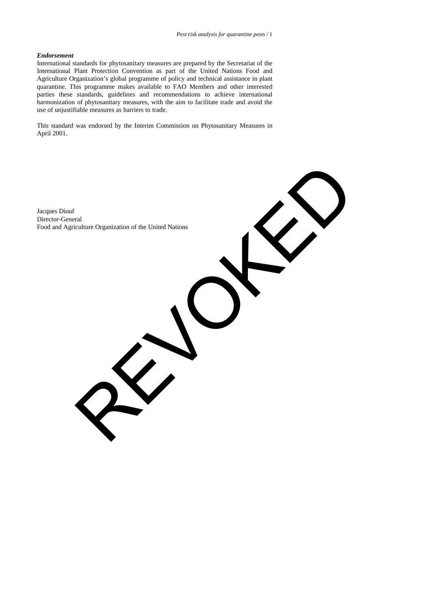## *Endorsement*

International standards for phytosanitary measures are prepared by the Secretariat of the International Plant Protection Convention as part of the United Nations Food and Agriculture Organization's global programme of policy and technical assistance in plant quarantine. This programme makes available to FAO Members and other interested parties these standards, guidelines and recommendations to achieve international harmonization of phytosanitary measures, with the aim to facilitate trade and avoid the use of unjustifiable measures as barriers to trade.

This standard was endorsed by the Interim Commission on Phytosanitary Measures in April 2001.

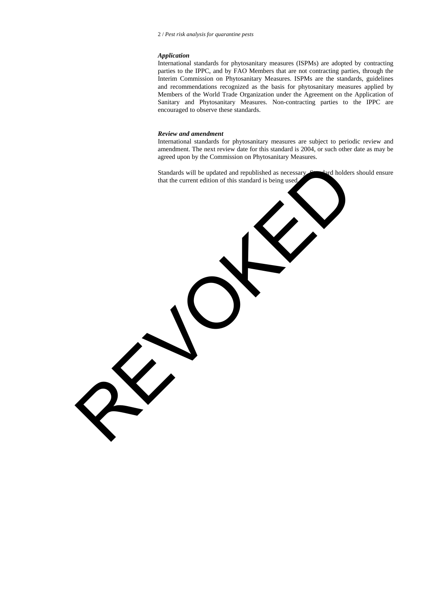# *Application*

International standards for phytosanitary measures (ISPMs) are adopted by contracting parties to the IPPC, and by FAO Members that are not contracting parties, through the Interim Commission on Phytosanitary Measures. ISPMs are the standards, guidelines and recommendations recognized as the basis for phytosanitary measures applied by Members of the World Trade Organization under the Agreement on the Application of Sanitary and Phytosanitary Measures. Non-contracting parties to the IPPC are encouraged to observe these standards.

#### *Review and amendment*

International standards for phytosanitary measures are subject to periodic review and amendment. The next review date for this standard is 2004, or such other date as may be agreed upon by the Commission on Phytosanitary Measures.

Standards will be updated and republished as necessary. Standard holders should ensure that the current edition of this standard is being used. REVOKED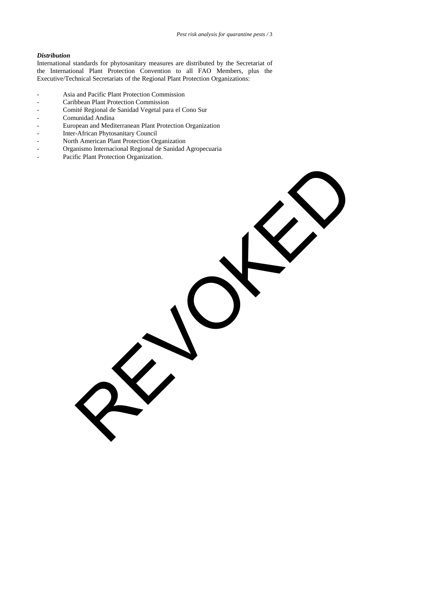REVOKED

# *Distribution*

International standards for phytosanitary measures are distributed by the Secretariat of the International Plant Protection Convention to all FAO Members, plus the Executive/Technical Secretariats of the Regional Plant Protection Organizations:

- Asia and Pacific Plant Protection Commission
- Caribbean Plant Protection Commission
- Comité Regional de Sanidad Vegetal para el Cono Sur
- Comunidad Andina
- European and Mediterranean Plant Protection Organization
- Inter-African Phytosanitary Council
- North American Plant Protection Organization<br>- Organismo Internacional Regional de Sanidad
- Organismo Internacional Regional de Sanidad Agropecuaria
- Pacific Plant Protection Organization.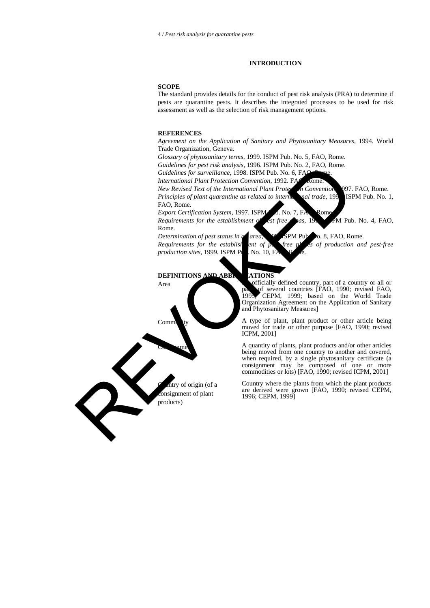# **INTRODUCTION**

# **SCOPE**

The standard provides details for the conduct of pest risk analysis (PRA) to determine if pests are quarantine pests. It describes the integrated processes to be used for risk assessment as well as the selection of risk management options.

#### **REFERENCES**

*Agreement on the Application of Sanitary and Phytosanitary Measures*, 1994. World Trade Organization, Geneva.

*Glossary of phytosanitary terms*, 1999. ISPM Pub. No. 5, FAO, Rome.

*Guidelines for pest risk analysis*, 1996. ISPM Pub. No. 2, FAO, Rome.

*Guidelines for surveillance*, 1998. ISPM Pub. No. 6, FAO

*International Plant Protection Convention*, 1992. FAO, Rome

*New Revised Text of the International Plant Protection Convention*, 1997. FAO, Rome. *Principles of plant quarantine as related to international trade*, 199 ISPM Pub. No. 1, FAO, Rome. Guidelines for pear risk analysis, 1996. ISBN Feb. No. 8, FAG. Rome.<br>
Guidelines for surveillance, 1998. ISBN Feb. No. 6, FAG. Rome.<br> *Revolved Text of the International Plant Protection*<br> *New Revised Text of the Interna* 

*Export Certification System, 1997. ISPM 0. No. 7, FA Rom* 

*Requirements for the establishment of est free* as,  $195$  PM Pub. No. 4, FAO, Rome.

*production sites*, 1999. ISPM Pub. No. 10, F.

*Determination of pest status in a* area, <sup>99</sup> SPM Pub. 0. 8, FAO, Rome. *Requirements for the establishet ent of perfree places of production and pest-free* 

## **DEFINITIONS AND ABBREVIATIONS**

ntry of origin (of a consignment of plant products)

Area An officially defined country, part of a country or all or part of several countries [FAO, 1990; revised FAO, 1999; based on the World Trade 1995; CEPM, 1999; based on the World Trade Organization Agreement on the Application of Sanitary and Phytosanitary Measures]

Commodity A type of plant, plant product or other article being moved for trade or other purpose [FAO, 1990; revised ICPM, 2001]

> A quantity of plants, plant products and/or other articles being moved from one country to another and covered, when required, by a single phytosanitary certificate (a consignment may be composed of one or more commodities or lots) [FAO, 1990; revised ICPM, 2001]

> Country where the plants from which the plant products are derived were grown [FAO, 1990; revised CEPM, 1996; CEPM, 1999]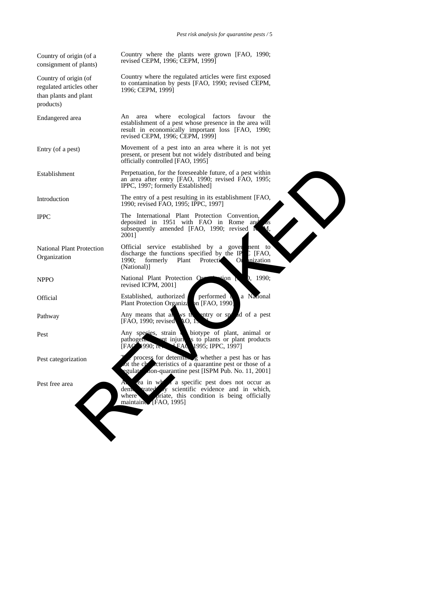Country where the plants were grown [FAO, 1990; revised CEPM, 1996; CEPM, 1999]

Country where the regulated articles were first exposed to contamination by pests [FAO, 1990; revised CEPM, 1996; CEPM, 1999]

Endangered area An area where ecological factors favour the establishment of a pest whose presence in the area will result in economically important loss [FAO, 1990; revised CEPM, 1996; CEPM, 1999]

Entry (of a pest) Movement of a pest into an area where it is not yet present, or present but not widely distributed and being officially controlled [FAO, 1995]

Establishment Perpetuation, for the foreseeable future, of a pest within an area after entry [FAO, 1990; revised FAO, 1995; IPPC, 1997; formerly Established]

Introduction The entry of a pest resulting in its establishment [FAO, 1990; revised FAO, 1995; IPPC, 1997]

Organization

National Plant Protection

Country of origin (of a consignment of plants)

Country of origin (of regulated articles other than plants and plant

products)

IPPC The International Plant Protection Convention, reposited in 1951 with FAO in Rome and as subsequently amended [FAO, 1990; revised 2001] Prepetuation, for the foreseeable fiture, of a pest within<br>an orac after early [EAO, 1993; revised EAO, 1995;<br>The entry of a pest resulting in its established]<br>The International Plant Fredchine Convention,<br>1990; revised EA

Official service established by a government to discharge the functions specified by the IP TFAO. discharge the functions specified by the II 1990; formerly Plant Protection 1990; formerly Plant Protectic Organization (National)]

NPPO National Plant Protection Organization [FeO, 1990; revised ICPM, 2001]

Official Established, authorized performed by a National Plant Protection Organiza on [FAO, 1990] Plant Protection Organiza

Pathway Any means that all ws the entry or speed of a pest<br>
FAO 1990: revised O. L  $[FAO, 1990;$  revised

Pest Any species, strain biotype of plant, animal or pathogen, and injury is to plants or plant products pathogenic and injurious to plants or plant products [FAO, 1990; review FAO, 1995; IPPC, 1997]

Pest categorization The process for determining whether a pest has or has process for the characteristics of a quarantine pest or those of a In the characteristics of a quarantine pest or those of a gulateristics of a quarantine pest  $[ISBN \text{ Pub. No. } 11, 2001]$ on-quarantine pest [ISPM Pub. No. 11, 2001]

Pest free area An area in which a specific pest does not occur as den a varied v scientific evidence and in which, scientific evidence and in which, where a priate, this condition is being officially<br>maintaine [FAO, 1995]  $[FAO, 1995]$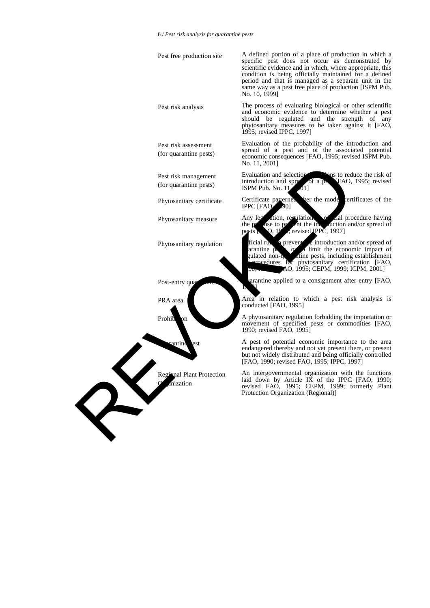|   | Pest free production site                          | A defined portion of a place of production in which a<br>specific pest does not occur as demonstrated by<br>scientific evidence and in which, where appropriate, this<br>condition is being officially maintained for a defined<br>period and that is managed as a separate unit in the<br>same way as a pest free place of production [ISPM Pub.<br>No. 10, 1999] |
|---|----------------------------------------------------|--------------------------------------------------------------------------------------------------------------------------------------------------------------------------------------------------------------------------------------------------------------------------------------------------------------------------------------------------------------------|
|   | Pest risk analysis                                 | The process of evaluating biological or other scientific<br>and economic evidence to determine whether a pest<br>should be regulated and the strength of any<br>phytosanitary measures to be taken against it [FAO,<br>1995; revised IPPC, 1997]                                                                                                                   |
|   | Pest risk assessment<br>(for quarantine pests)     | Evaluation of the probability of the introduction and<br>spread of a pest and of the associated potential<br>economic consequences [FAO, 1995; revised ISPM Pub.<br>No. 11, 2001]                                                                                                                                                                                  |
|   | Pest risk management<br>(for quarantine pests)     | Evaluation and selection<br>some to reduce the risk of<br>introduction and spree of a perfect of AO, 1995; revised ISPM Pub. No. 11 01]                                                                                                                                                                                                                            |
|   | Phytosanitary certificate                          | fter the mode certificates of the<br>Certificate patterned<br>IPPC [FAO 90]                                                                                                                                                                                                                                                                                        |
|   | Phytosanitary measure                              | ation, regulation of all procedure having<br>Any leg<br>the process to provide the international of pests process and process process of pests process and the set of the set of the set of the set of the set of the set of the set of the set of the set of the set of the set of th                                                                             |
|   | Phytosanitary regulation                           | ficial rules prevent controller introduction and/or spread of arantine property limit the economic impact of<br>gulated non-qualities pests, including establishment<br>procedures for phytosanitary certification [FAO,<br>AO, 1995; CEPM, 1999; ICPM, 2001]                                                                                                      |
|   | Post-entry qua                                     | arantine applied to a consignment after entry [FAO,                                                                                                                                                                                                                                                                                                                |
|   | PRA area                                           | Area in relation to which a pest risk analysis is<br>conducted [FAO, 1995]                                                                                                                                                                                                                                                                                         |
|   | Prohib<br>on                                       | A phytosanitary regulation forbidding the importation or<br>movement of specified pests or commodities [FAO,<br>1990; revised FAO, 1995]                                                                                                                                                                                                                           |
|   | rantine<br>est                                     | A pest of potential economic importance to the area<br>endangered thereby and not yet present there, or present<br>but not widely distributed and being officially controlled<br>[FAO, 1990; revised FAO, 1995; IPPC, 1997]                                                                                                                                        |
|   | Regional Plant Protection<br>$\alpha$<br>anization | An intergovernmental organization with the functions<br>laid down by Article IX of the IPPC [FAO, 1990;<br>revised FAO, 1995; CEPM, 1999; formerly Plant<br>Protection Organization (Regional)]                                                                                                                                                                    |
| R |                                                    |                                                                                                                                                                                                                                                                                                                                                                    |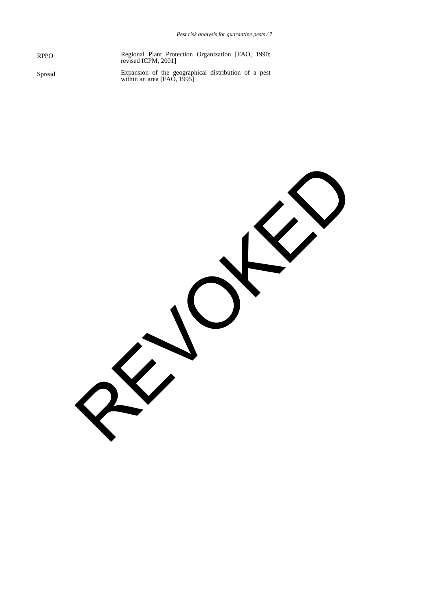RPPO Regional Plant Protection Organization [FAO, 1990; revised ICPM, 2001]

Spread Expansion of the geographical distribution of a pest within an area [FAO, 1995]

REVOKED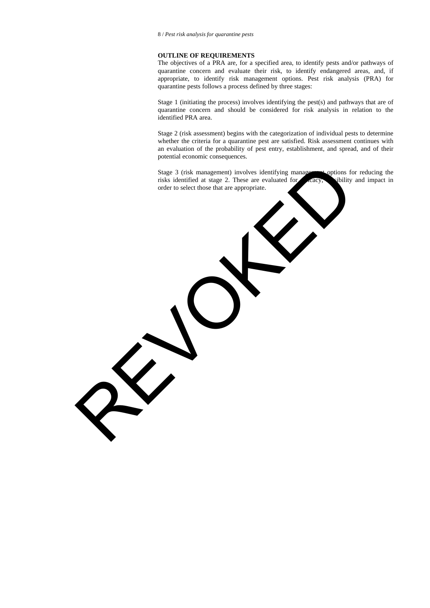# **OUTLINE OF REQUIREMENTS**

The objectives of a PRA are, for a specified area, to identify pests and/or pathways of quarantine concern and evaluate their risk, to identify endangered areas, and, if appropriate, to identify risk management options. Pest risk analysis (PRA) for quarantine pests follows a process defined by three stages:

Stage 1 (initiating the process) involves identifying the pest(s) and pathways that are of quarantine concern and should be considered for risk analysis in relation to the identified PRA area.

Stage 2 (risk assessment) begins with the categorization of individual pests to determine whether the criteria for a quarantine pest are satisfied. Risk assessment continues with an evaluation of the probability of pest entry, establishment, and spread, and of their potential economic consequences.

Stage 3 (risk management) involves identifying management options for reducing the risks identified at stage 2. These are evaluated for each equilibrium values in the interval end in the equilibrium of the equilibrium of the equilibrium of the equilibrium of the equilibrium of the equilibrium of the equi order to select those that are appropriate. REVOKED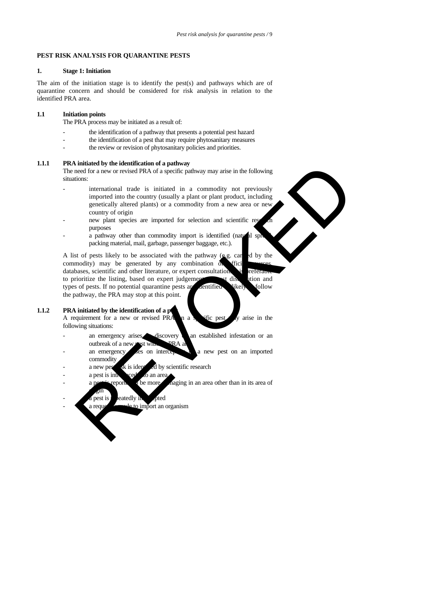# **PEST RISK ANALYSIS FOR QUARANTINE PESTS**

#### **1. Stage 1: Initiation**

The aim of the initiation stage is to identify the pest(s) and pathways which are of quarantine concern and should be considered for risk analysis in relation to the identified PRA area.

# **1.1 Initiation points**

The PRA process may be initiated as a result of:

- the identification of a pathway that presents a potential pest hazard
- the identification of a pest that may require phytosanitary measures
- the review or revision of phytosanitary policies and priorities.

# **1.1.1 PRA initiated by the identification of a pathway**

The need for a new or revised PRA of a specific pathway may arise in the following situations:

- international trade is initiated in a commodity not previously imported into the country (usually a plant or plant product, including genetically altered plants) or a commodity from a new area or new country of origin
- new plant species are imported for selection and scientific res purposes
- $\alpha$  pathway other than commodity import is identified (natural sp packing material, mail, garbage, passenger baggage, etc.).

A list of pests likely to be associated with the pathway  $(g, g, \text{car} \cdot d)$  by the commodity) may be generated by any combination  $\delta$ . If ic databases, scientific and other literature, or expert consultation. It is refer to prioritize the listing, based on expert judgement of disk ution and types of pests. If no potential quarantine pests are dentified as likely follow the pathway, the PRA may stop at this point. matter for the total matter of a particular computation of a particular control of a particular tend of a particular in a commodity not previously imported into the country (usually a plant or plant of plant product, incl

#### **1.1.2 PRA initiated by the identification of a periodical**

A requirement for a new or revised PRA  $\alpha$  a specific pest  $\alpha$  arise in the following situations:

- an emergency arises discovery an established infestation or an outbreak of a new pest with  $PRA$  a
- an emergency are on interception of a new pest on an imported
- commodity<br>a new peg  $sk$  is identified by scientific research
- $a$  pest is introduced  $\alpha$  an area
- eported be more and aging in an area other than in its area of
- $\frac{1}{2}$ in pest is reatedly in the pted
- a request a made to import an organism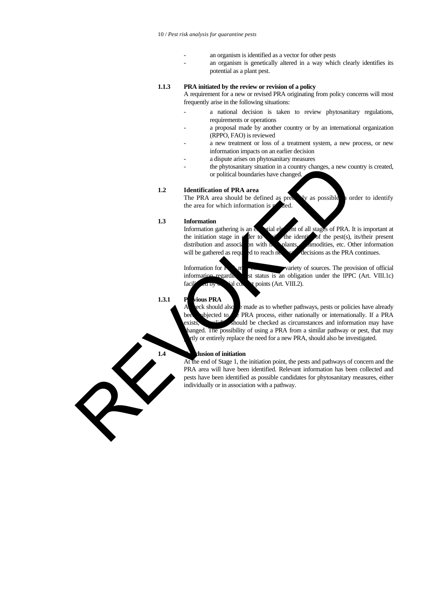- an organism is identified as a vector for other pests
- an organism is genetically altered in a way which clearly identifies its potential as a plant pest.

# **1.1.3 PRA initiated by the review or revision of a policy**

A requirement for a new or revised PRA originating from policy concerns will most frequently arise in the following situations:

- a national decision is taken to review phytosanitary regulations, requirements or operations
- a proposal made by another country or by an international organization (RPPO, FAO) is reviewed
- a new treatment or loss of a treatment system, a new process, or new information impacts on an earlier decision
- a dispute arises on phytosanitary measures
- the phytosanitary situation in a country changes, a new country is created, or political boundaries have changed.

# **1.2 Identification of PRA area**

The PRA area should be defined as precisely as possible in order to identify the area for which information is

# **1.3 Information**<br>Information gathering is an

ial element of all stages of PRA. It is important at the initiation stage in  $\alpha$  ler to clarify the identity of the pest(s), its/their present distribution and association with host plants, almodities, etc. Other information will be gathered as required to reach necessary decisions as the PRA continues.

Information for  $R$  may come from a variety of sources. The provision of official information regarding is status is an obligation under the IPPC (Art. VIII.1c)  $facil$   $\overline{c}$  arby of  $\overline{c}$  ial contact points (Art. VIII.2).

#### **1.3.1 P** vious PRA

A leck should also  $\overline{e}$  made as to whether pathways, pests or policies have already been ubjected to  $t$  PRA process, either nationally or internationally. If a PRA  $\mathbf{x}$  ists,  $\mathbf{x}$  should be checked as circumstances and information may have anged. The possibility of using a PRA from a similar pathway or pest, that may tly or entirely replace the need for a new PRA, should also be investigated. the physicalitation situation in a country changes, a new correspondent behind to the signal the set of the signal the defined as particular to the signal of the signal of the signal of the signal of the signal of the sign

#### **1.4 Conclusion of initiation**

At the end of Stage 1, the initiation point, the pests and pathways of concern and the PRA area will have been identified. Relevant information has been collected and pests have been identified as possible candidates for phytosanitary measures, either individually or in association with a pathway.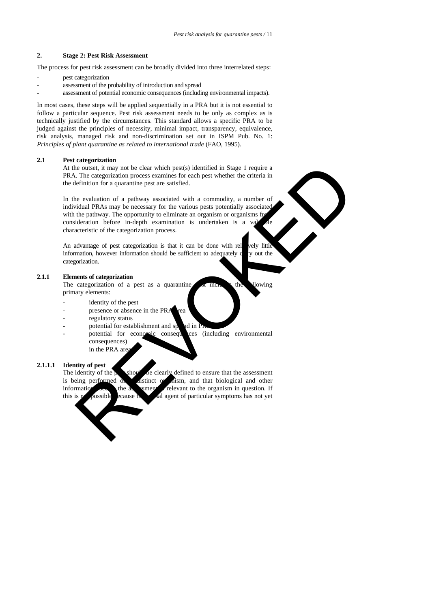# **2. Stage 2: Pest Risk Assessment**

The process for pest risk assessment can be broadly divided into three interrelated steps:

- pest categorization
- assessment of the probability of introduction and spread
- assessment of potential economic consequences (including environmental impacts).

In most cases, these steps will be applied sequentially in a PRA but it is not essential to follow a particular sequence. Pest risk assessment needs to be only as complex as is technically justified by the circumstances. This standard allows a specific PRA to be judged against the principles of necessity, minimal impact, transparency, equivalence, risk analysis, managed risk and non-discrimination set out in ISPM Pub. No. 1: *Principles of plant quarantine as related to international trade* (FAO, 1995).

#### **2.1 Pest categorization**

At the outset, it may not be clear which pest(s) identified in Stage 1 require a PRA. The categorization process examines for each pest whether the criteria in the definition for a quarantine pest are satisfied.

In the evaluation of a pathway associated with a commodity, a number of individual PRAs may be necessary for the various pests potentially associated with the pathway. The opportunity to eliminate an organism or organisms from consideration before in-depth examination is undertaken is a valuable characteristic of the categorization process. e ousse, it may not be clear which pestoy identified in Stage 1 require a<br>
consect, it may not be clear which pest whether the criteria in<br>
Le categorization process examines for each pest whether the criteria in<br>
definiti

An advantage of pest categorization is that it can be done with relatively little information, however information should be sufficient to adequately  $c$  y out the categorization.

# **2.1.1 Elements of categorization**

The categorization of a pest as a quarantine per include the lowing primary elements:

- identity of the pest
- presence or absence in the PRA rea
- regulatory status
- potential for establishment and sprad in  $\overline{P}$
- potential for economic consequences (including environmental consequences) in the PRA are

#### **2.1.1.1 Identity of pest**

The identity of the  $\mu$  show be clearly defined to ensure that the assessment is being performed on a distinct or dism, and that biological and other information  $\frac{1}{\sqrt{2}}$  is the assessment in the organism in question. If this is not possible because the causal agent of particular symptoms has not yet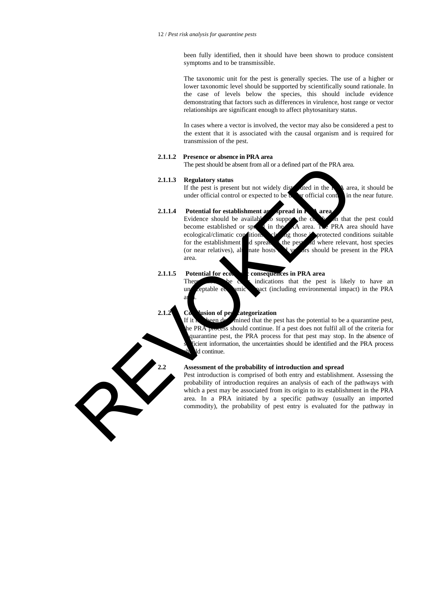been fully identified, then it should have been shown to produce consistent symptoms and to be transmissible.

The taxonomic unit for the pest is generally species. The use of a higher or lower taxonomic level should be supported by scientifically sound rationale. In the case of levels below the species, this should include evidence demonstrating that factors such as differences in virulence, host range or vector relationships are significant enough to affect phytosanitary status.

In cases where a vector is involved, the vector may also be considered a pest to the extent that it is associated with the causal organism and is required for transmission of the pest.

# **2.1.1.2 Presence or absence in PRA area**

The pest should be absent from all or a defined part of the PRA area.

## **2.1.1.3 Regulatory status**

a

If the pest is present but not widely distributed in the  $\bf{R}$  area, it should be under official control or expected to be  $\mathbf{u}$  or official control in the near future.

# **2.1.1.4** Potential for establishment and spread in Property area

Evidence should be available to support the conclusion that the pest could become established or spread in the  $\overrightarrow{AB}$  area. The PRA area should have ecological/climatic conditions  $\mathbf{r}$  in  $\mathbf{r}$  in the suitable ecological/climatic conditions for the establishment d spread the pest and where relevant, host species (or near relatives), all nate hosts v or should be present in the PRA nate hosts  $\sqrt{v}$  or should be present in the PRA area.

# **2.1.1.5 Potential for economic consequences in PRA area**

There show the clear indications that the pest is likely to have an unacceptable economic vact (including environmental impact) in the PRA

# **2.1.2 Co** usion of pest categorization

If it has been determined that the pest has the potential to be a quarantine pest, the PRA process should continue. If a pest does not fulfil all of the criteria for quarantine pest, the PRA process for that pest may stop. In the absence of icient information, the uncertainties should be identified and the PRA process d continue.

# **2.2 Assessment of the probability of introduction and spread**

Pest introduction is comprised of both entry and establishment. Assessing the probability of introduction requires an analysis of each of the pathways with which a pest may be associated from its origin to its establishment in the PRA area. In a PRA initiated by a specific pathway (usually an imported commodity), the probability of pest entry is evaluated for the pathway in

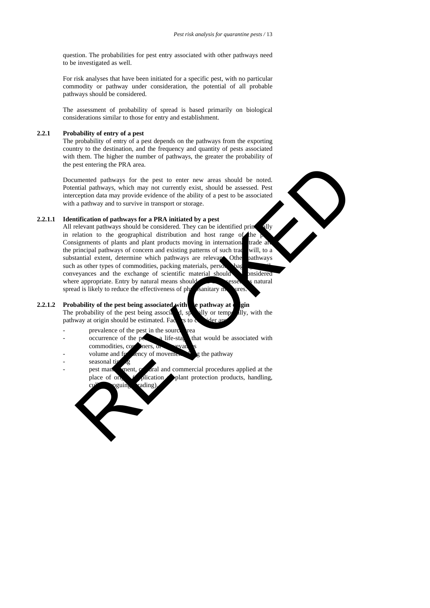question. The probabilities for pest entry associated with other pathways need to be investigated as well.

For risk analyses that have been initiated for a specific pest, with no particular commodity or pathway under consideration, the potential of all probable pathways should be considered.

The assessment of probability of spread is based primarily on biological considerations similar to those for entry and establishment.

# **2.2.1 Probability of entry of a pest**

The probability of entry of a pest depends on the pathways from the exporting country to the destination, and the frequency and quantity of pests associated with them. The higher the number of pathways, the greater the probability of the pest entering the PRA area.

Documented pathways for the pest to enter new areas should be noted. Potential pathways, which may not currently exist, should be assessed. Pest interception data may provide evidence of the ability of a pest to be associated with a pathway and to survive in transport or storage.

# **2.2.1.1 Identification of pathways for a PRA initiated by a pest**

All relevant pathways should be considered. They can be identified principally in relation to the geographical distribution and host range of the Consignments of plants and plant products moving in international trade are the principal pathways of concern and existing patterns of such trade will, to a substantial extent, determine which pathways are relevant. Other pathways such as other types of commodities, packing materials, persons, material, material, material,  $\frac{1}{2}$ , material, material,  $\frac{1}{2}$  $convevances$  and the exchange of scientific material should be posidered where appropriate. Entry by natural means should  $\sim$  essed, as natural spread is likely to reduce the effectiveness of physicanitary measures. is a method particular the past to enter new areas should be noted.<br>
method particular particular particular particular particular particular and may provide evidence of the ability of a pest to be associated<br>
a particular

# **2.2.1.2** Probability of the pest being associated with the pathway at origin

The probability of the pest being associated, spatially or temporally, with the pathway at origin should be estimated. Factors to

- prevalence of the pest in the source  $\Gamma$
- $\alpha$  occurrence of the pest  $\alpha$  life-stage that would be associated with commodities, co
- volume and frequency of movement along the pathway
- seasonal tij
- pest management, cultural and commercial procedures applied at the place of original plant protection products, handling, ading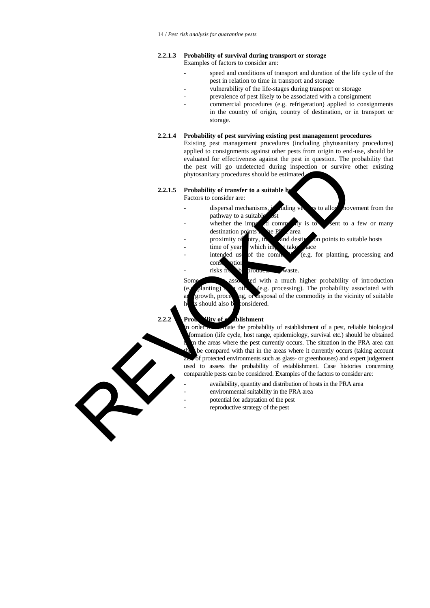#### **2.2.1.3 Probability of survival during transport or storage** Examples of factors to consider are:

- speed and conditions of transport and duration of the life cycle of the pest in relation to time in transport and storage
- vulnerability of the life-stages during transport or storage
	- prevalence of pest likely to be associated with a consignment
- commercial procedures (e.g. refrigeration) applied to consignments in the country of origin, country of destination, or in transport or storage.

#### **2.2.1.4 Probability of pest surviving existing pest management procedures**

Existing pest management procedures (including phytosanitary procedures) applied to consignments against other pests from origin to end-use, should be evaluated for effectiveness against the pest in question. The probability that the pest will go undetected during inspection or survive other existing phytosanitary procedures should be estimated.

#### **2.2.1.5** Probability of transfer to a suitable h

Factors to consider are:

- dispersal mechanisms, including vectors to allow movement from the pathway to a suitable<br>whether the imposite
- d commodity is to sent to a few or many destination points  $\mathbf{h}$  be PRA area
- proximity of atry, transition and destination points to suitable hosts
- $\times$  time of year which importance
	- intended use of the commodity (e.g. for planting, processing and consumption
	- risks from by-products and waste.

Some  $\begin{array}{c} \text{asso} \\ \text{de.} \end{array}$  associated with a much higher probability of introduction (e.g. processing). The probability associated with  $(e, g)$ lanting) that other (e.g. processing). The probability associated with any growth, processing, or disposal of the commodity in the vicinity of suitable should also be considered.

# **2.2.2 Probabilishment**

order to estimate the probability of establishment of a pest, reliable biological formation (life cycle, host range, epidemiology, survival etc.) should be obtained In the areas where the pest currently occurs. The situation in the PRA area can be compared with that in the areas where it currently occurs (taking account of protected environments such as glass- or greenhouses) and expert judgement used to assess the probability of establishment. Case histories concerning comparable pests can be considered. Examples of the factors to consider are: the pest will go undetected during inspection or survive<br>phytosminity procedures should be estimated to a survive<br>example. The considerate:<br>
<br>
Pactors to consider are:<br>
<br>
Factors to consider are:<br>
<br>
Factors to consider are

- availability, quantity and distribution of hosts in the PRA area
	- environmental suitability in the PRA area
	- potential for adaptation of the pest
	- reproductive strategy of the pest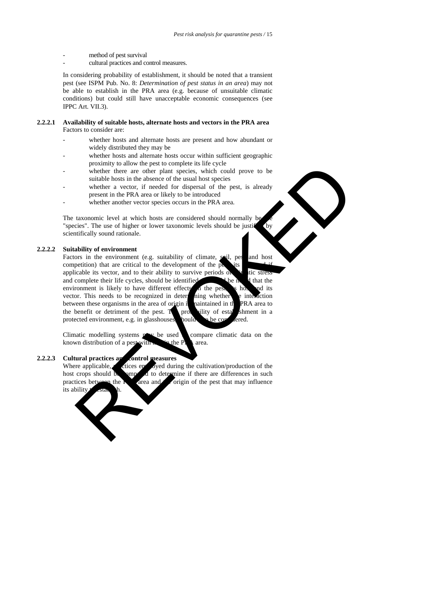- method of pest survival
- cultural practices and control measures.

In considering probability of establishment, it should be noted that a transient pest (see ISPM Pub. No. 8: *Determination of pest status in an area*) may not be able to establish in the PRA area (e.g. because of unsuitable climatic conditions) but could still have unacceptable economic consequences (see IPPC Art. VII.3).

## **2.2.2.1 Availability of suitable hosts, alternate hosts and vectors in the PRA area** Factors to consider are:

- whether hosts and alternate hosts are present and how abundant or widely distributed they may be
- whether hosts and alternate hosts occur within sufficient geographic proximity to allow the pest to complete its life cycle
- whether there are other plant species, which could prove to be suitable hosts in the absence of the usual host species
- whether a vector, if needed for dispersal of the pest, is already present in the PRA area or likely to be introduced
- whether another vector species occurs in the PRA area.

The taxonomic level at which hosts are considered should normally be "species". The use of higher or lower taxonomic levels should be justify by scientifically sound rationale.

# **2.2.2.2 Suitability of environment**

Factors in the environment (e.g. suitability of climate, soil, pes and host competition) that are critical to the development of the  $\vec{p}$ applicable its vector, and to their ability to survive periods of  $\frac{1}{2}$  the conduction of complete their life cycles, should be identified and complete their life cycles, should be identified. It is a environment is likely to have different effects  $\Delta$  the pest, its host and its vector. This needs to be recognized in determing whether the interaction between these organisms in the area of origin is naintained in the PRA area to the benefit or detriment of the pest.  $T$  probability of establishment in a protected environment, e.g. in glasshouses, hould a be conserved. proximity to anow the pest to complete its lie cycle<br>whether there are other plant species, which could prove to be<br>whether a vector, if predded for dispersal of the pest, is already<br>whether an vector, if predded for dispe

Climatic modelling systems  $\mathbf{p}$  be used compare climatic data on the known distribution of a pest with  $\mathbf{r}$  in the P $\mathbf{r}$  area.

#### **2.2.2.3 Cultural practices and control measures**

Where applicable,  $\epsilon$  ctices employed during the cultivation/production of the host crops should be supported to determine if there are differences in such practices between the Area and Corigin of the pest that may influence the **R** area and the origin of the pest that may influence its ability

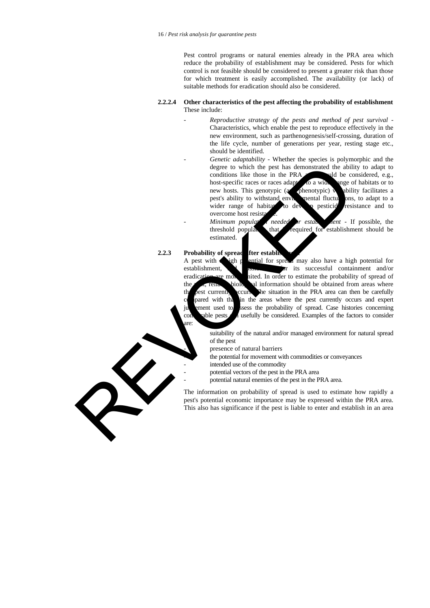Pest control programs or natural enemies already in the PRA area which reduce the probability of establishment may be considered. Pests for which control is not feasible should be considered to present a greater risk than those for which treatment is easily accomplished. The availability (or lack) of suitable methods for eradication should also be considered.

# **2.2.2.4 Other characteristics of the pest affecting the probability of establishment** These include:

- *Reproductive strategy of the pests and method of pest survival* Characteristics, which enable the pest to reproduce effectively in the new environment, such as parthenogenesis/self-crossing, duration of the life cycle, number of generations per year, resting stage etc., should be identified.
- *Genetic adaptability* Whether the species is polymorphic and the degree to which the pest has demonstrated the ability to adapt to conditions like those in the PRA  $ul$ d be considered, e.g., host-specific races or races adapted to a wide ange of habitats or to new hosts. This genotypic  $\alpha$  phenotypic) was ability facilitates a new hosts. This genotypic (and phenotypic) variability facilitates a pest's ability to withstand environmental fluctuations, to adapt to a wider range of habitats, to develop pesticide resistance and to overcome host resist degree to which the pest has demonstrated the ability of the state of the state of the state of the state of the state of the state of the state and the mate of the state and the mate of the state of the state of the state

Minimum popularities and *needed for establishment* - If possible, the threshold popularities that required for establishment should be that *i* required for establishment should be estimated.

**2.2.3** Probability of spread fter establi are:

A pest with a high potential for spread may also have a high potential for establishment, and possibilities for its successful containment and/or eradication are more inited. In order to estimate the probability of spread of the  $p_{\text{e}}$ , reliable biology al information should be obtained from areas where the pest currently occurs. The situation in the PRA area can then be carefully pared with that in the areas where the pest currently occurs and expert judgement used to ssess the probability of spread. Case histories concerning comparable pests can usefully be considered. Examples of the factors to consider

> suitability of the natural and/or managed environment for natural spread of the pest

presence of natural barriers

the potential for movement with commodities or conveyances

intended use of the commodity

potential vectors of the pest in the PRA area

potential natural enemies of the pest in the PRA area.

The information on probability of spread is used to estimate how rapidly a pest's potential economic importance may be expressed within the PRA area. This also has significance if the pest is liable to enter and establish in an area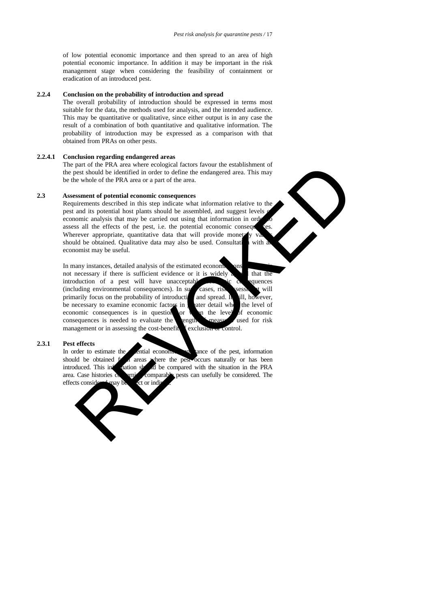of low potential economic importance and then spread to an area of high potential economic importance. In addition it may be important in the risk management stage when considering the feasibility of containment or eradication of an introduced pest.

# **2.2.4 Conclusion on the probability of introduction and spread**

The overall probability of introduction should be expressed in terms most suitable for the data, the methods used for analysis, and the intended audience. This may be quantitative or qualitative, since either output is in any case the result of a combination of both quantitative and qualitative information. The probability of introduction may be expressed as a comparison with that obtained from PRAs on other pests.

#### **2.2.4.1 Conclusion regarding endangered areas**

The part of the PRA area where ecological factors favour the establishment of the pest should be identified in order to define the endangered area. This may be the whole of the PRA area or a part of the area.

#### **2.3 Assessment of potential economic consequences**

Requirements described in this step indicate what information relative to the pest and its potential host plants should be assembled, and suggest levels economic analysis that may be carried out using that information in order assess all the effects of the pest, i.e. the potential economic consequences. Wherever appropriate, quantitative data that will provide moneta should be obtained. Qualitative data may also be used. Consultation with a economist may be useful.

In many instances, detailed analysis of the estimated economic consequences is  $\frac{1}{2}$ not necessary if there is sufficient evidence or it is widely  $\alpha$  that the introduction of a pest will have unacceptable experiences (including environmental consequences). In such cases, risk session  $\chi$  will primarily focus on the probability of introduction and spread. It will, however, be necessary to examine economic factors in , atter detail who the level of be necessary to examine economic factors in grader detail when economic consequences is in question or when the level of economic consequences is needed to evaluate the ength measure used for risk consequences is needed to evaluate the ength  $\epsilon$ management or in assessing the cost-benefit  $\epsilon$  exclusion or control. part of the PRA area where ecological factors favour the establishment of<br>the mean vertex should be identified in order to define the nedangered area. This may<br>seement of potential conomic consequences<br>are the present of t

# **2.3.1 Pest effects**

In order to estimate the potential economic importance of the pest, information should be obtained  $f$  areas where the pest occurs naturally or has been areas where the pest occurs naturally or has been introduced. This information should be compared with the situation in the PRA area. Case histories comparable pests can usefully be considered. The effects considered may be dect or indi-

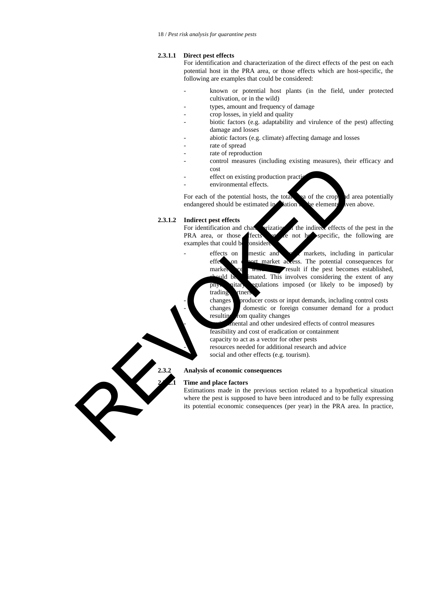## **2.3.1.1 Direct pest effects**

For identification and characterization of the direct effects of the pest on each potential host in the PRA area, or those effects which are host-specific, the following are examples that could be considered:

- known or potential host plants (in the field, under protected cultivation, or in the wild)
- types, amount and frequency of damage
- crop losses, in yield and quality
- biotic factors (e.g. adaptability and virulence of the pest) affecting damage and losses
- abiotic factors (e.g. climate) affecting damage and losses
- rate of spread
- rate of reproduction
	- control measures (including existing measures), their efficacy and cost
- effect on existing production practi
- environmental effects.

For each of the potential hosts, the total area of the crop and area potentially endangered should be estimated in  $\blacksquare$  ation to the elements ven above.

# **2.3.1.2 Indirect pest effects**

For identification and characterization of the indirect effects of the pest in the PRA area, or those fects at are not hospecific, the following are examples that could be onsidered

 $\text{effects}$  on domestic and  $\bullet$  markets, including in particular

effection export market access. The potential consequences for market ce w<sub>hich</sub> result if the pest becomes established, auld be imated. This involves considering the extent of any phytosanitary regulations imposed (or likely to be imposed) by For each of the poemial effects.<br>
For each of the computation practice environmental effects.<br>
For each of the computations and changes of the computer environmental effects and one of the computer of the interaction and c

changes **b**roducer costs or input demands, including control costs changes domestic or foreign consumer demand for a product resulting from quality changes

nental and other undesired effects of control measures feasibility and cost of eradication or containment

capacity to act as a vector for other pests

resources needed for additional research and advice

social and other effects (e.g. tourism).

# **2.3.2 Analysis of economic consequences**

trading then

# **2.3.2.1 Time and place factors**

Estimations made in the previous section related to a hypothetical situation where the pest is supposed to have been introduced and to be fully expressing its potential economic consequences (per year) in the PRA area. In practice,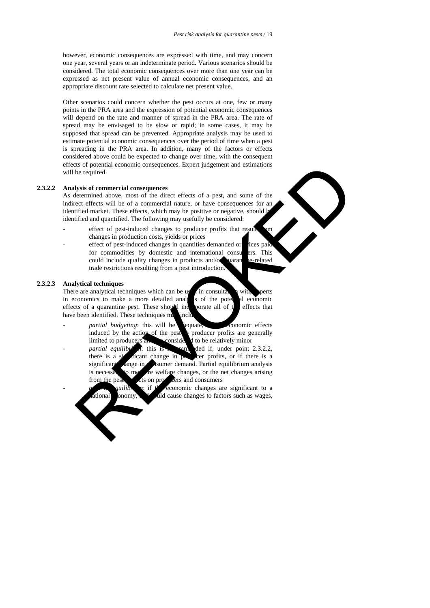however, economic consequences are expressed with time, and may concern one year, several years or an indeterminate period. Various scenarios should be considered. The total economic consequences over more than one year can be expressed as net present value of annual economic consequences, and an appropriate discount rate selected to calculate net present value.

Other scenarios could concern whether the pest occurs at one, few or many points in the PRA area and the expression of potential economic consequences will depend on the rate and manner of spread in the PRA area. The rate of spread may be envisaged to be slow or rapid; in some cases, it may be supposed that spread can be prevented. Appropriate analysis may be used to estimate potential economic consequences over the period of time when a pest is spreading in the PRA area. In addition, many of the factors or effects considered above could be expected to change over time, with the consequent effects of potential economic consequences. Expert judgement and estimations will be required.

## **2.3.2.2 Analysis of commercial consequences**

As determined above, most of the direct effects of a pest, and some of the indirect effects will be of a commercial nature, or have consequences for an identified market. These effects, which may be positive or negative, should be identified and quantified. The following may usefully be considered:

- effect of pest-induced changes to producer profits that result changes in production costs, yields or prices
- effect of pest-induced changes in quantities demanded or pices paid for commodities by domestic and international consumers. This could include quality changes in products and/or quarantine-related trade restrictions resulting from a pest introduction.

#### **2.3.2.3 Analytical techniques**

There are analytical techniques which can be used in consultation with experts in economics to make a more detailed analysis of the pote all economic in economics to make a more detailed analysis of the potential economic effects of a quarantine pest. These should incorrate all of t effects of a quarantine pest. These should incorporate all of the effects that have been identified. These techniques may include

- *partial budgeting*: this will be equate, conomic effects induced by the action of the pest producer profits are generally limited to producers and  $\sum$  considered to be relatively minor
- *partial equilibrium*: this is reported if, under point 2.3.2.2, there is a significant change in  $\mathbf{p}_k$  cer profits, or if there is a significant change in consumer demand. Partial equilibrium analysis is necessary to measure welfare changes, or the net changes arising from the pest impacts on producers and consumers as of potential economic consequences. Expert judgement and estimations<br>be required.<br>
be required.<br>
lettermined above, most of the direct effects of a pest, and some of the<br>economic above, most of the direct effects of the
- *general if* the economic changes are significant to a tional onomy, and cause changes to factors such as wages,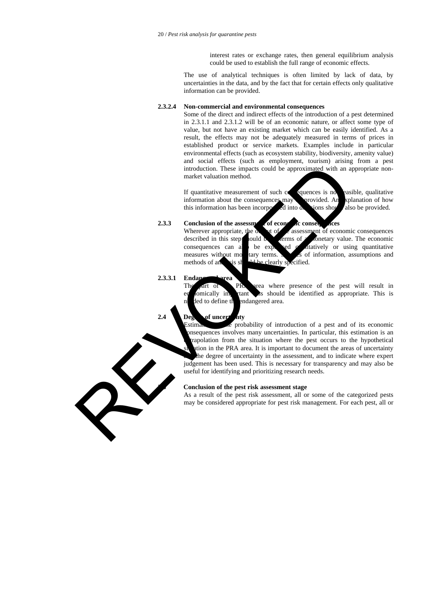interest rates or exchange rates, then general equilibrium analysis could be used to establish the full range of economic effects.

The use of analytical techniques is often limited by lack of data, by uncertainties in the data, and by the fact that for certain effects only qualitative information can be provided.

# **2.3.2.4 Non-commercial and environmental consequences**

Some of the direct and indirect effects of the introduction of a pest determined in 2.3.1.1 and 2.3.1.2 will be of an economic nature, or affect some type of value, but not have an existing market which can be easily identified. As a result, the effects may not be adequately measured in terms of prices in established product or service markets. Examples include in particular environmental effects (such as ecosystem stability, biodiversity, amenity value) and social effects (such as employment, tourism) arising from a pest introduction. These impacts could be approximated with an appropriate nonmarket valuation method.

If quantitative measurement of such  $c<sub>0</sub>$  equences is not easible, qualitative information about the consequences may be provided. An explanation of how this information has been incorporated into decisions show also be provided.

#### **2.3.3 Conclusion of the assessment of economic consequences**

Wherever appropriate, the  $\alpha$  vt of  $\alpha$  assessment of economic consequences described in this step should be  $\blacksquare$  cerms of a monetary value. The economic consequences can also be expressed  $\alpha$  attaively or using quantitative measures without motor terms.  $\sum$  is of information, assumptions and methods of an **analysis should be clearly specified.** 

## **2.3.3.1 Endangered area**

The part of PRA area where presence of the pest will result in omically important as should be identified as appropriate. This is ded to define the endangered area.

# **2.4 Deg** of uncert aty

Estimation of the probability of introduction of a pest and of its economic nsequences involves many uncertainties. In particular, this estimation is an rapolation from the situation where the pest occurs to the hypothetical tion in the PRA area. It is important to document the areas of uncertainty the degree of uncertainty in the assessment, and to indicate where expert judgement has been used. This is necessary for transparency and may also be useful for identifying and prioritizing research needs. introduction. These impacts could be approximated with an approximated with an approximated with an approximated of such and information about the consequences may specified. An equivalent of such as the proportion of the

# **2.5 Conclusion of the pest risk assessment stage**

As a result of the pest risk assessment, all or some of the categorized pests may be considered appropriate for pest risk management. For each pest, all or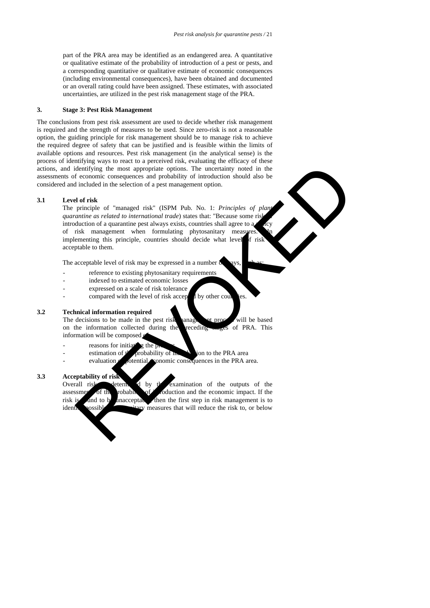part of the PRA area may be identified as an endangered area. A quantitative or qualitative estimate of the probability of introduction of a pest or pests, and a corresponding quantitative or qualitative estimate of economic consequences (including environmental consequences), have been obtained and documented or an overall rating could have been assigned. These estimates, with associated uncertainties, are utilized in the pest risk management stage of the PRA.

### **3. Stage 3: Pest Risk Management**

The conclusions from pest risk assessment are used to decide whether risk management is required and the strength of measures to be used. Since zero-risk is not a reasonable option, the guiding principle for risk management should be to manage risk to achieve the required degree of safety that can be justified and is feasible within the limits of available options and resources. Pest risk management (in the analytical sense) is the process of identifying ways to react to a perceived risk, evaluating the efficacy of these actions, and identifying the most appropriate options. The uncertainty noted in the assessments of economic consequences and probability of introduction should also be considered and included in the selection of a pest management option.

#### **3.1 Level of risk**

The principle of "managed risk" (ISPM Pub. No. 1: *Principles of plant quarantine as related to international trade*) states that: "Because some ris introduction of a quarantine pest always exists, countries shall agree to a of risk management when formulating phytosanitary measures. implementing this principle, countries should decide what level  $f$  risk acceptable to them. dentifying the most appropriate options. The uncertainty noted in the conomic consequence and probability of introduction should also be included in the selection of a pest management option.<br>
Included in the selection of

The acceptable level of risk may be expressed in a number  $\delta$ 

- reference to existing phytosanitary requirements
- indexed to estimated economic losses
- expressed on a scale of risk tolerance
- compared with the level of risk accepted by other counter  $\alpha$

# **3.2 Technical information required**

The decisions to be made in the pest risk hanagement process will be based on the information collected during the receding stages of PRA. This information will be composed

- reasons for initiating the process
- estimation of  $t'$  probability of integral to the PRA area
- $e^{i\omega}$  evaluation of potential expression consequences in the PRA area.

#### **3.3 Acceptability of risk**

Overall risk determined by the examination of the outputs of the assessments of the probability of intervals of intervals and the economic impact. If the risk is and to be unacceptable, then the first step in risk management is to identify possible phytosanitary measures that will reduce the risk to, or below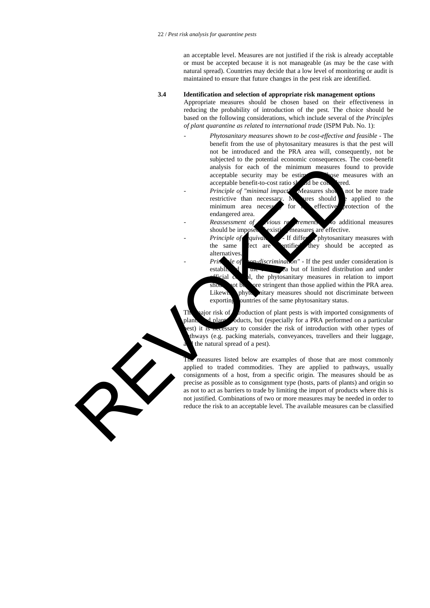an acceptable level. Measures are not justified if the risk is already acceptable or must be accepted because it is not manageable (as may be the case with natural spread). Countries may decide that a low level of monitoring or audit is maintained to ensure that future changes in the pest risk are identified.

# **3.4 Identification and selection of appropriate risk management options**

Appropriate measures should be chosen based on their effectiveness in reducing the probability of introduction of the pest. The choice should be based on the following considerations, which include several of the *Principles of plant quarantine as related to international trade* (ISPM Pub. No. 1):

- *Phytosanitary measures shown to be cost-effective and feasible* The benefit from the use of phytosanitary measures is that the pest will not be introduced and the PRA area will, consequently, not be subjected to the potential economic consequences. The cost-benefit analysis for each of the minimum measures found to provide acceptable security may be estimed allows the measures with an acceptable security may be estimated. acceptable benefit-to-cost ratio should be considered.
- *Principle of "minimal impact"* Measures show not be more trade restrictive than necessary. Meanwhere should be applied to the minimum area necessery for  $\alpha$  effective protection of the endangered area.

*Reassessment of prious reprenents* to additional measures should be imposed vexisting measures are effective.

*Principle of quivalence is* If different phytosanitary measures with the same effect are entified they should be accepted as alternatives.

*Principle of "non-discrimination"* - If the pest under consideration is established **in the PRA area but of limited distribution and under** rial control, the phytosanitary measures in relation to import pt be ore stringent than those applied within the PRA area. Likewise, phytosanitary measures should not discriminate between exporting puntries of the same phytosanitary status.

The major risk of *i*ntroduction of plant pests is with imported consignments of plants and plant polyoducts, but (especially for a PRA performed on a particular est) it is necessary to consider the risk of introduction with other types of thways (e.g. packing materials, conveyances, travellers and their luggage, the natural spread of a pest).

measures listed below are examples of those that are most commonly applied to traded commodities. They are applied to pathways, usually consignments of a host, from a specific origin. The measures should be as precise as possible as to consignment type (hosts, parts of plants) and origin so as not to act as barriers to trade by limiting the import of products where this is not justified. Combinations of two or more measures may be needed in order to reduce the risk to an acceptable level. The available measures can be classified analysis for each of the minimum measures four acceptable benefit-lo-cost ratio of dilectors.<br>
acceptable benefit-lo-cost ratio of dilectors and neutricity of minimum area neutricity of minimum and neutricity alternation o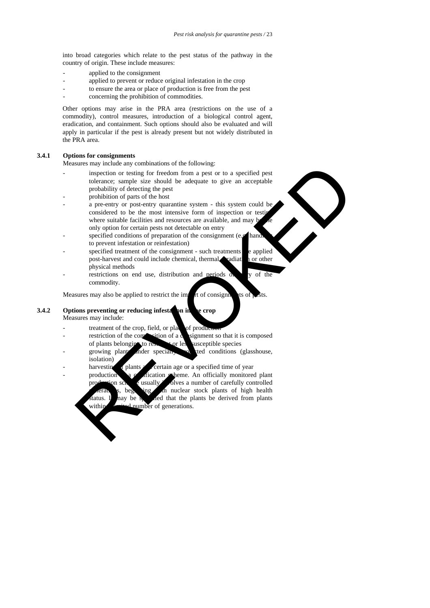into broad categories which relate to the pest status of the pathway in the country of origin. These include measures:

- applied to the consignment
- applied to prevent or reduce original infestation in the crop
- to ensure the area or place of production is free from the pest
- concerning the prohibition of commodities.

Other options may arise in the PRA area (restrictions on the use of a commodity), control measures, introduction of a biological control agent, eradication, and containment. Such options should also be evaluated and will apply in particular if the pest is already present but not widely distributed in the PRA area.

# **3.4.1 Options for consignments**

Measures may include any combinations of the following:

- inspection or testing for freedom from a pest or to a specified pest tolerance; sample size should be adequate to give an acceptable probability of detecting the pest
- prohibition of parts of the host
- a pre-entry or post-entry quarantine system this system could be considered to be the most intensive form of inspection or testing where suitable facilities and resources are available, and may b only option for certain pests not detectable on entry
- specified conditions of preparation of the consignment (e.g. hand to prevent infestation or reinfestation)
- specified treatment of the consignment such treatments e applied post-harvest and could include chemical, thermal, readiation or other physical methods
- restrictions on end use, distribution and periods  $\alpha$  v of the commodity.

Measures may also be applied to restrict the import of consignments of pests.

# **3.4.2 Options preventing or reducing infestation in the crop** Measures may include:

- treatment of the crop, field, or place of production
- restriction of the composition of a consignment so that it is composed of plants belonging to resistant or less susceptible species
- growing plants inder specially produced conditions (glasshouse, isolation)
- harvesting of plants at a certain age or a specified time of year
- $\alpha$  in a production  $\alpha$  a certification scheme. An officially monitored plant production scheme usually involves a number of carefully controlled beginning with nuclear stock plants of high health tatus. It may be specified that the plants be derived from plants within a mitod number of generations. sures my include and communities of the following:<br>
may include any of the control of the state of the state is solved by the control of perfection of the state is solved by the control of parts of the basis probability of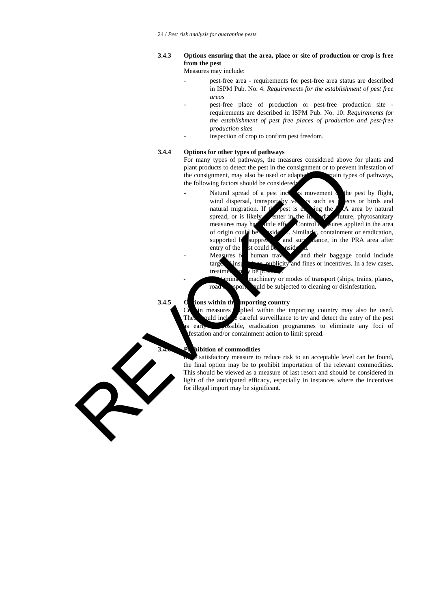# **3.4.3 Options ensuring that the area, place or site of production or crop is free from the pest**

Measures may include:

- pest-free area requirements for pest-free area status are described in ISPM Pub. No. 4: *Requirements for the establishment of pest free areas*
- pest-free place of production or pest-free production site requirements are described in ISPM Pub. No. 10: *Requirements for the establishment of pest free places of production and pest-free production sites*
	- inspection of crop to confirm pest freedom.

# **3.4.4 Options for other types of pathways**

For many types of pathways, the measures considered above for plants and plant products to detect the pest in the consignment or to prevent infestation of the consignment, may also be used or adapted. For cain types of pathways, the following factors should be considered

- Natural spread of a pest inclusion movement  $\alpha$  the pest by flight, wind dispersal, transport by vectors such as insects or birds and natural migration. If  $t$  pest is entering the A area by natural spread, or is likely enter in the immediate future, phytosanitary measures may have little effect. Control measures applied in the area of origin could be side a. Similarly, containment or eradication, supported b suppress and surported. in the PRA area after supported by suppression and surveillance, in the PRA area after entry of the st could be pesidered. Measures for human travellers and their baggage could include plant product is close the peat in the consignment, any also be used or adaptement or to prevent<br>the following factors should be considered.<br>The following factors should be considered.<br>Wind dispersal, transport by the sear
	- target inspections, publicity and fines or incentives. In a few cases, treatments may be
	- minated machinery or modes of transport (ships, trains, planes, road sport, and the subjected to cleaning or disinfestation.

# **3.4.5 O** ions within the mporting country

 $n$  measures plied within the importing country may also be used. uld include careful surveillance to try and detect the entry of the pest early assible, eradication programmes to eliminate any foci of iestation and/or containment action to limit spread.

# **3.4.6 Prohibition of commodities**

satisfactory measure to reduce risk to an acceptable level can be found, the final option may be to prohibit importation of the relevant commodities. This should be viewed as a measure of last resort and should be considered in light of the anticipated efficacy, especially in instances where the incentives for illegal import may be significant.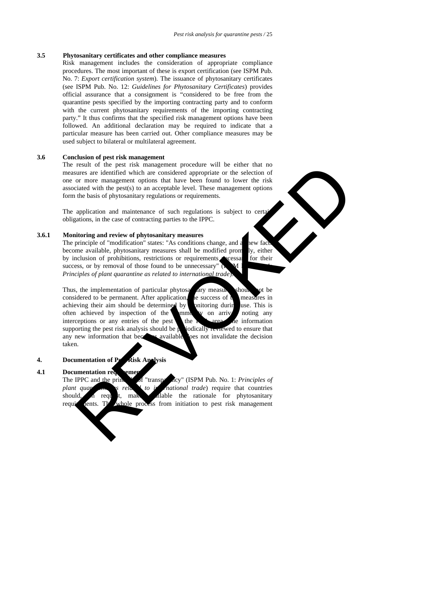## **3.5 Phytosanitary certificates and other compliance measures**

Risk management includes the consideration of appropriate compliance procedures. The most important of these is export certification (see ISPM Pub. No. 7: *Export certification system*). The issuance of phytosanitary certificates (see ISPM Pub. No. 12: *Guidelines for Phytosanitary Certificates*) provides official assurance that a consignment is "considered to be free from the quarantine pests specified by the importing contracting party and to conform with the current phytosanitary requirements of the importing contracting party." It thus confirms that the specified risk management options have been followed. An additional declaration may be required to indicate that a particular measure has been carried out. Other compliance measures may be used subject to bilateral or multilateral agreement.

# **3.6 Conclusion of pest risk management**

The result of the pest risk management procedure will be either that no measures are identified which are considered appropriate or the selection of one or more management options that have been found to lower the risk associated with the pest $(s)$  to an acceptable level. These management options form the basis of phytosanitary regulations or requirements.

The application and maintenance of such regulations is subject to certain obligations, in the case of contracting parties to the IPPC.

# **3.6.1 Monitoring and review of phytosanitary measures**

The principle of "modification" states: "As conditions change, and a new factors are new factors of  $\pi$ become available, phytosanitary measures shall be modified prometry, either by inclusion of prohibitions, restrictions or requirements recessary for their success, or by removal of those found to be unnecessary" *Principles of plant quarantine as related to international trade*).

Thus, the implementation of particular phytosanitary measures should not be considered to be permanent. After application, the success of  $t_0$  measures in achieving their aim should be determined by pnitoring during use. This is often achieved by inspection of the mind  $\alpha$  on arrive noting any interceptions or any entries of the pest the commodity of the commodity of the commodity of the commodity of the commodity of the commodity of the commodi  $interceptions$  or any entries of the pest the supporting the pest risk analysis should be periodically reviewed to ensure that any new information that becomes available loss not invalidate the decision taken. result of the pest risk mangement procedure will be cityer that no<br>accuracy accuracy are identified which are considered appropriate or the selection of<br>or more mangement options that have been found to lower the risk<br>tiat

# **4. Documentation of Perfile Risk Analysis**

#### **4.1 Documentation requirements**

The IPPC and the prince of "transparency" (ISPM Pub. No. 1: *Principles of plant quar* as *related to international trade*) require that countries should,  $\alpha$  request, make alable the rationale for phytosanitary requirements. The whole process from initiation to pest risk management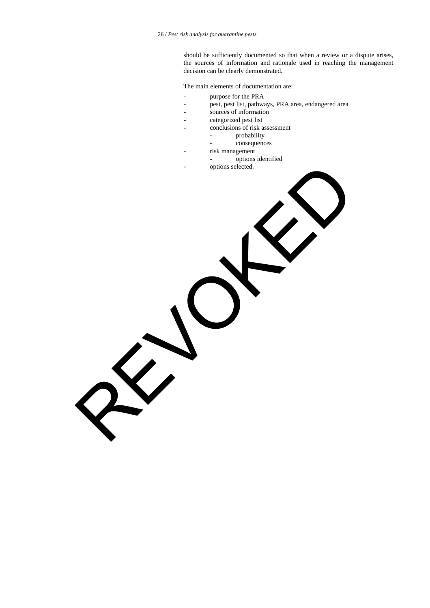should be sufficiently documented so that when a review or a dispute arises, the sources of information and rationale used in reaching the management decision can be clearly demonstrated.

The main elements of documentation are:

- purpose for the PRA
- pest, pest list, pathways, PRA area, endangered area
- sources of information
- categorized pest list
- conclusions of risk assessment
	- probability
		- consequences
	- risk management
		- options identified
- options selected. REVOKED